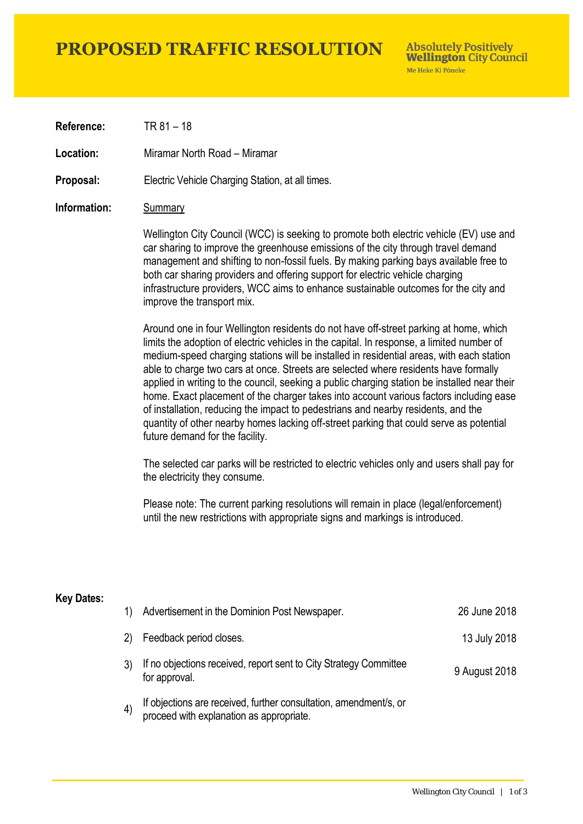## **PROPOSED TRAFFIC RESOLUTION**

**Absolutely Positively Wellington City Council** Me Heke Ki Pôneke

**Reference:** TR 81 – 18

**Location:** Miramar North Road – Miramar

**Proposal:** Electric Vehicle Charging Station, at all times.

#### **Information:** Summary

Wellington City Council (WCC) is seeking to promote both electric vehicle (EV) use and car sharing to improve the greenhouse emissions of the city through travel demand management and shifting to non-fossil fuels. By making parking bays available free to both car sharing providers and offering support for electric vehicle charging infrastructure providers, WCC aims to enhance sustainable outcomes for the city and improve the transport mix.

Around one in four Wellington residents do not have off-street parking at home, which limits the adoption of electric vehicles in the capital. In response, a limited number of medium-speed charging stations will be installed in residential areas, with each station able to charge two cars at once. Streets are selected where residents have formally applied in writing to the council, seeking a public charging station be installed near their home. Exact placement of the charger takes into account various factors including ease of installation, reducing the impact to pedestrians and nearby residents, and the quantity of other nearby homes lacking off-street parking that could serve as potential future demand for the facility.

The selected car parks will be restricted to electric vehicles only and users shall pay for the electricity they consume.

Please note: The current parking resolutions will remain in place (legal/enforcement) until the new restrictions with appropriate signs and markings is introduced.

#### **Key Dates:**

| 1)                | Advertisement in the Dominion Post Newspaper.                                                                 | 26 June 2018  |
|-------------------|---------------------------------------------------------------------------------------------------------------|---------------|
| 2)                | Feedback period closes.                                                                                       | 13 July 2018  |
|                   | If no objections received, report sent to City Strategy Committee<br>for approval.                            | 9 August 2018 |
| $\left( 4\right)$ | If objections are received, further consultation, amendment/s, or<br>proceed with explanation as appropriate. |               |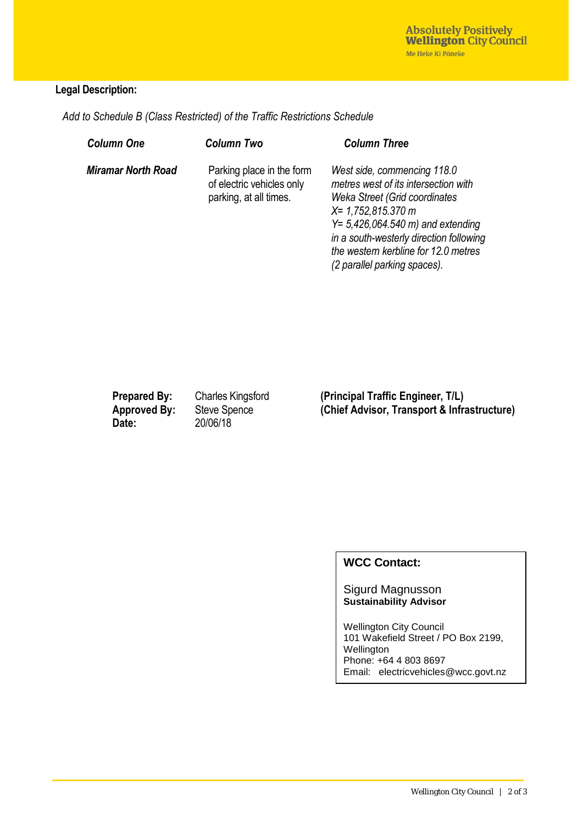#### **Legal Description:**

*Add to Schedule B (Class Restricted) of the Traffic Restrictions Schedule* 

| <b>Column One</b>         | <b>Column Two</b>                                                                | <b>Column Three</b>                                                                                                                                                                                                                                                                      |
|---------------------------|----------------------------------------------------------------------------------|------------------------------------------------------------------------------------------------------------------------------------------------------------------------------------------------------------------------------------------------------------------------------------------|
| <b>Miramar North Road</b> | Parking place in the form<br>of electric vehicles only<br>parking, at all times. | West side, commencing 118.0<br>metres west of its intersection with<br>Weka Street (Grid coordinates<br>$X = 1,752,815.370 m$<br>$Y = 5,426,064.540$ m) and extending<br>in a south-westerly direction following<br>the western kerbline for 12.0 metres<br>(2 parallel parking spaces). |

**Date:** 20/06/18

**Prepared By:** Charles Kingsford **(Principal Traffic Engineer, T/L)** Approved By: Steve Spence **(Chief Advisor, Transport & Infrastructure)**<br>Date: 20/06/18

### **WCC Contact:**

Sigurd Magnusson **Sustainability Advisor**

Wellington City Council 101 Wakefield Street / PO Box 2199, Wellington Phone: +64 4 803 8697 Email: electricvehicles@wcc.govt.nz